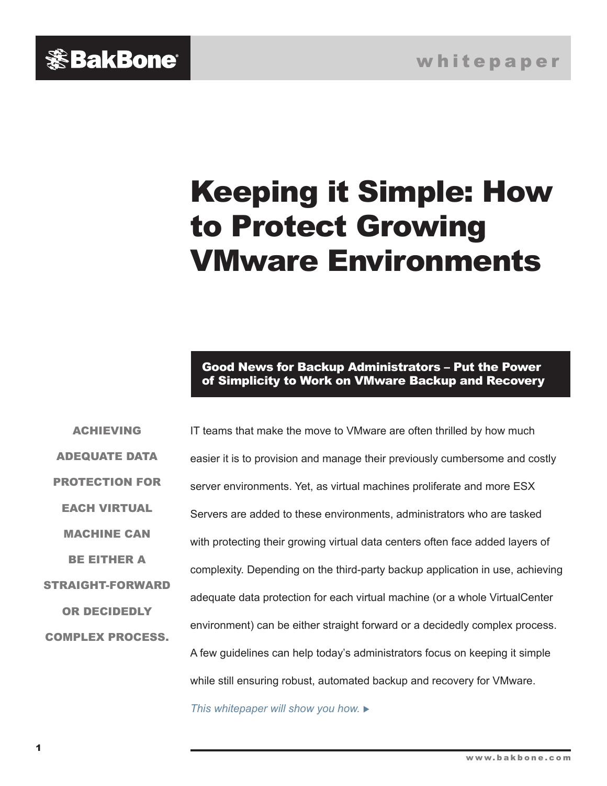<span id="page-0-0"></span>

# Keeping it Simple: How to Protect Growing VMware Environments

Good News for Backup Administrators – Put the Power of Simplicity to Work on VMware Backup and Recovery

ADEQUATE DATA PROTECTION FOR EACH VIRTUAL MACHINE CAN BE EITHER A STRAIGHT-FORWARD OR DECIDEDLY COMPLEX PROCESS.

ACHIEVING

IT teams that make the move to VMware are often thrilled by how much easier it is to provision and manage their previously cumbersome and costly server environments. Yet, as virtual machines proliferate and more ESX Servers are added to these environments, administrators who are tasked with protecting their growing virtual data centers often face added layers of complexity. Depending on the third-party backup application in use, achieving adequate data protection for each virtual machine (or a whole VirtualCenter environment) can be either straight forward or a decidedly complex process. A few guidelines can help today's administrators focus on keeping it simple while still ensuring robust, automated backup and recovery for VMware.

*This whitepaper will show you how.*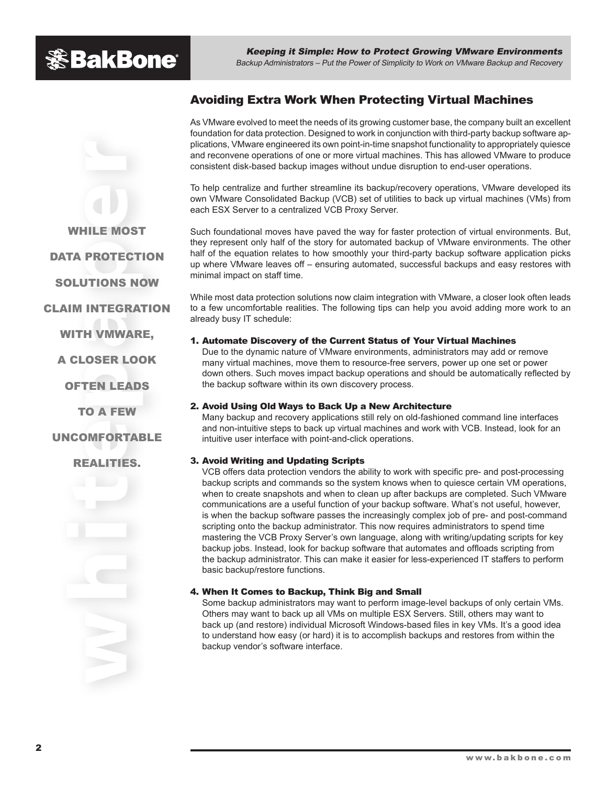## **※BakBone**

Keeping it Simple: How to Protect Growing VMware Environments Backup Administrators – Put the Power of Simplicity to Work on VMware Backup and Recovery

## Avoiding Extra Work When Protecting Virtual Machines

As VMware evolved to meet the needs of its growing customer base, the company built an excellent foundation for data protection. Designed to work in conjunction with third-party backup software applications, VMware engineered its own point-in-time snapshot functionality to appropriately quiesce and reconvene operations of one or more virtual machines. This has allowed VMware to produce consistent disk-based backup images without undue disruption to end-user operations.

To help centralize and further streamline its backup/recovery operations, VMware developed its own VMware Consolidated Backup (VCB) set of utilities to back up virtual machines (VMs) from each ESX Server to a centralized VCB Proxy Server.

Such foundational moves have paved the way for faster protection of virtual environments. But, they represent only half of the story for automated backup of VMware environments. The other half of the equation relates to how smoothly your third-party backup software application picks up where VMware leaves off – ensuring automated, successful backups and easy restores with minimal impact on staff time.

While most data protection solutions now claim integration with VMware, a closer look often leads to a few uncomfortable realities. The following tips can help you avoid adding more work to an already busy IT schedule:

#### 1. Automate Discovery of the Current Status of Your Virtual Machines

Due to the dynamic nature of VMware environments, administrators may add or remove many virtual machines, move them to resource-free servers, power up one set or power down others. Such moves impact backup operations and should be automatically reflected by the backup software within its own discovery process.

#### 2. Avoid Using Old Ways to Back Up a New Architecture

Many backup and recovery applications still rely on old-fashioned command line interfaces and non-intuitive steps to back up virtual machines and work with VCB. Instead, look for an intuitive user interface with point-and-click operations.

#### 3. Avoid Writing and Updating Scripts

VCB offers data protection vendors the ability to work with specific pre- and post-processing backup scripts and commands so the system knows when to quiesce certain VM operations, when to create snapshots and when to clean up after backups are completed. Such VMware communications are a useful function of your backup software. What's not useful, however, is when the backup software passes the increasingly complex job of pre- and post-command scripting onto the backup administrator. This now requires administrators to spend time mastering the VCB Proxy Server's own language, along with writing/updating scripts for key backup jobs. Instead, look for backup software that automates and offloads scripting from the backup administrator. This can make it easier for less-experienced IT staffers to perform basic backup/restore functions.

#### 4. When It Comes to Backup, Think Big and Small

Some backup administrators may want to perform image-level backups of only certain VMs. Others may want to back up all VMs on multiple ESX Servers. Still, others may want to back up (and restore) individual Microsoft Windows-based files in key VMs. It's a good idea to understand how easy (or hard) it is to accomplish backups and restores from within the backup vendor's software interface.

DATA PROTECTION SOLUTIONS NOW CLAIM INTEGRATION WITH **VMWARE**.

WHILE MOST

A CLOSER LOOK

OFTEN LEADS

TO A FEW

#### UNCOMFORTABLE

REALITIES.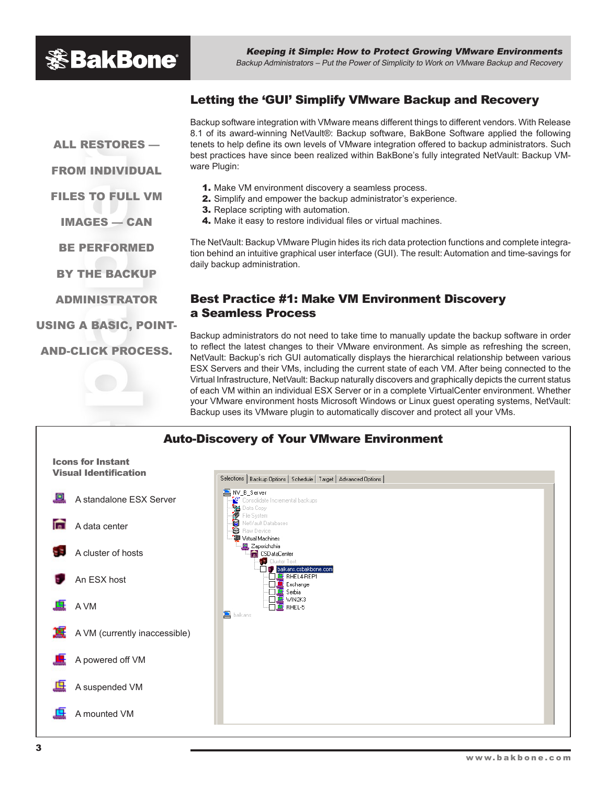## **※BakBone**

Keeping it Simple: How to Protect Growing VMware Environments Backup Administrators – Put the Power of Simplicity to Work on VMware Backup and Recovery

### Letting the 'GUI' Simplify VMware Backup and Recovery

ALL RESTORES —

FROM INDIVIDUAL

FILES TO FULL VM

IMAGES — CAN

BE PERFORMED

BY THE BACKUP

ADMINISTRATOR

USING A BASIC, POINT-

AND-CLICK PROCESS.

#### Backup software integration with VMware means different things to different vendors. With Release 8.1 of its award-winning NetVault®: Backup software, BakBone Software applied the following tenets to help define its own levels of VMware integration offered to backup administrators. Such best practices have since been realized within BakBone's fully integrated NetVault: Backup VMware Plugin:

- 1. Make VM environment discovery a seamless process.
- 2. Simplify and empower the backup administrator's experience.
- **3.** Replace scripting with automation.
- 4. Make it easy to restore individual files or virtual machines.

The NetVault: Backup VMware Plugin hides its rich data protection functions and complete integration behind an intuitive graphical user interface (GUI). The result: Automation and time-savings for daily backup administration.

## Best Practice #1: Make VM Environment Discovery a Seamless Process

Backup administrators do not need to take time to manually update the backup software in order to reflect the latest changes to their VMware environment. As simple as refreshing the screen, NetVault: Backup's rich GUI automatically displays the hierarchical relationship between various ESX Servers and their VMs, including the current state of each VM. After being connected to the Virtual Infrastructure, NetVault: Backup naturally discovers and graphically depicts the current status of each VM within an individual ESX Server or in a complete VirtualCenter environment. Whether your VMware environment hosts Microsoft Windows or Linux guest operating systems, NetVault: Backup uses its VMware plugin to automatically discover and protect all your VMs.

## Auto-Discovery of Your VMware Environment



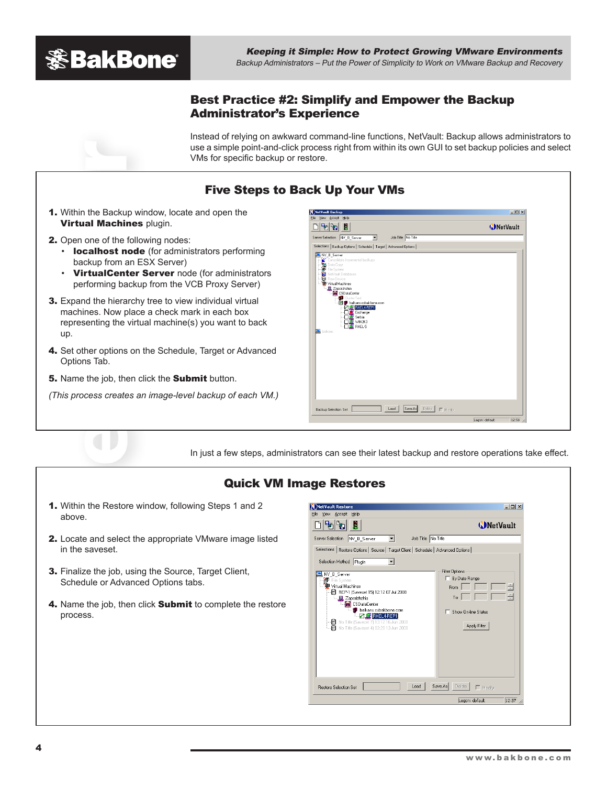

### Best Practice #2: Simplify and Empower the Backup Administrator's Experience

Instead of relying on awkward command-line functions, NetVault: Backup allows administrators to use a simple point-and-click process right from within its own GUI to set backup policies and select VMs for specific backup or restore.

## Five Steps to Back Up Your VMs

- 1. Within the Backup window, locate and open the **Virtual Machines plugin.**
- 2. Open one of the following nodes:
	- localhost node (for administrators performing backup from an ESX Server)
	- VirtualCenter Server node (for administrators performing backup from the VCB Proxy Server)
- **3.** Expand the hierarchy tree to view individual virtual machines. Now place a check mark in each box representing the virtual machine(s) you want to back up.
- 4. Set other options on the Schedule, Target or Advanced Options Tab.
- 5. Name the job, then click the Submit button.
- *(This process creates an image-level backup of each VM.)*



In just a few steps, administrators can see their latest backup and restore operations take effect.

## Quick VM Image Restores

- 1. Within the Restore window, following Steps 1 and 2 above.
- 2. Locate and select the appropriate VMware image listed in the saveset.
- 3. Finalize the job, using the Source, Target Client, Schedule or Advanced Options tabs.
- 4. Name the job, then click Submit to complete the restore process.

| Help<br>Ņ<br><b>NetVault</b><br>Job Title No Title<br>NV B Server<br>▾<br>Selections   Restore Options   Source   Target Client   Schedule   Advanced Options<br><b>Filter Options</b><br>□ By Date Range<br><sup>"那</sup> File System<br>Virtual Machines<br>$\frac{1}{x}$<br>From<br>REP-1 (Saveset 15) 12:12 07 Jul 2008<br>$\frac{1}{x}$<br>To<br>D. Zaporizhzhia<br><b>CSD</b> at a Center<br>balkans.csbakbone.com<br>Show On-line Status<br><b>PER FHEL4 REP1</b><br>No Title (Saveset 7) 13:12 16 Jun 2008<br>n<br>Apply Filter<br>Ā<br>No Title (Saveset 4) 03:20 13 Jun 2008 | N NetVault Restore      | $\Box$ D $\Box$         |
|----------------------------------------------------------------------------------------------------------------------------------------------------------------------------------------------------------------------------------------------------------------------------------------------------------------------------------------------------------------------------------------------------------------------------------------------------------------------------------------------------------------------------------------------------------------------------------------|-------------------------|-------------------------|
|                                                                                                                                                                                                                                                                                                                                                                                                                                                                                                                                                                                        | View Accept             |                         |
|                                                                                                                                                                                                                                                                                                                                                                                                                                                                                                                                                                                        |                         |                         |
|                                                                                                                                                                                                                                                                                                                                                                                                                                                                                                                                                                                        | Server Selection        |                         |
|                                                                                                                                                                                                                                                                                                                                                                                                                                                                                                                                                                                        |                         |                         |
|                                                                                                                                                                                                                                                                                                                                                                                                                                                                                                                                                                                        | Selection Method Plugin |                         |
|                                                                                                                                                                                                                                                                                                                                                                                                                                                                                                                                                                                        | NV_B_Server             |                         |
|                                                                                                                                                                                                                                                                                                                                                                                                                                                                                                                                                                                        |                         | Logon: default<br>12:37 |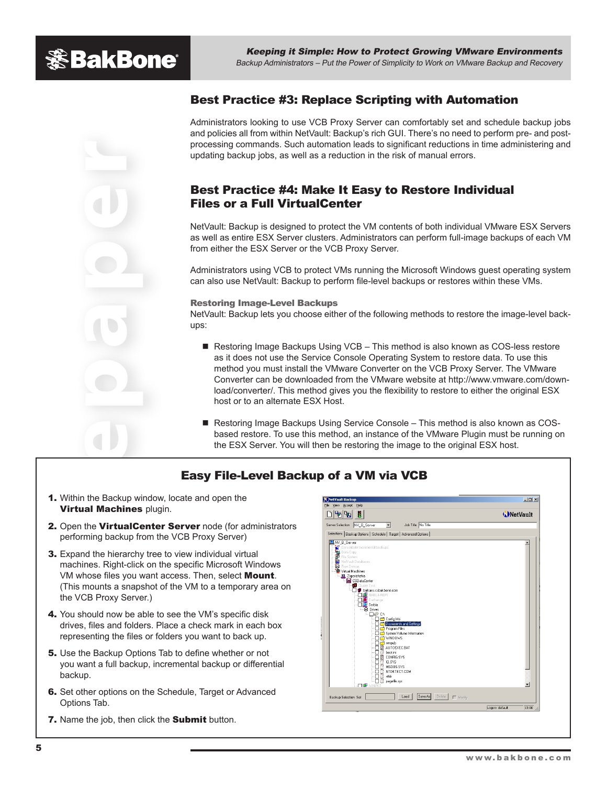

## Best Practice #3: Replace Scripting with Automation

Administrators looking to use VCB Proxy Server can comfortably set and schedule backup jobs and policies all from within NetVault: Backup's rich GUI. There's no need to perform pre- and postprocessing commands. Such automation leads to significant reductions in time administering and updating backup jobs, as well as a reduction in the risk of manual errors.

### Best Practice #4: Make It Easy to Restore Individual Files or a Full VirtualCenter

NetVault: Backup is designed to protect the VM contents of both individual VMware ESX Servers as well as entire ESX Server clusters. Administrators can perform full-image backups of each VM from either the ESX Server or the VCB Proxy Server.

Administrators using VCB to protect VMs running the Microsoft Windows guest operating system can also use NetVault: Backup to perform file-level backups or restores within these VMs.

#### Restoring Image-Level Backups

NetVault: Backup lets you choose either of the following methods to restore the image-level backups:

- Restoring Image Backups Using VCB This method is also known as COS-less restore as it does not use the Service Console Operating System to restore data. To use this method you must install the VMware Converter on the VCB Proxy Server. The VMware Converter can be downloaded from the VMware website at http://www.vmware.com/download/converter/. This method gives you the flexibility to restore to either the original ESX host or to an alternate ESX Host.
- Restoring Image Backups Using Service Console This method is also known as COSbased restore. To use this method, an instance of the VMware Plugin must be running on the ESX Server. You will then be restoring the image to the original ESX host.

## Easy File-Level Backup of a VM via VCB

- 1. Within the Backup window, locate and open the Virtual Machines plugin.
- 2. Open the VirtualCenter Server node (for administrators performing backup from the VCB Proxy Server)
- **3.** Expand the hierarchy tree to view individual virtual machines. Right-click on the specific Microsoft Windows VM whose files you want access. Then, select **Mount**. (This mounts a snapshot of the VM to a temporary area on the VCB Proxy Server.)
- 4. You should now be able to see the VM's specific disk drives, files and folders. Place a check mark in each box representing the files or folders you want to back up.
- 5. Use the Backup Options Tab to define whether or not you want a full backup, incremental backup or differential backup.
- 6. Set other options on the Schedule, Target or Advanced Options Tab.
- 7. Name the job, then click the Submit button.

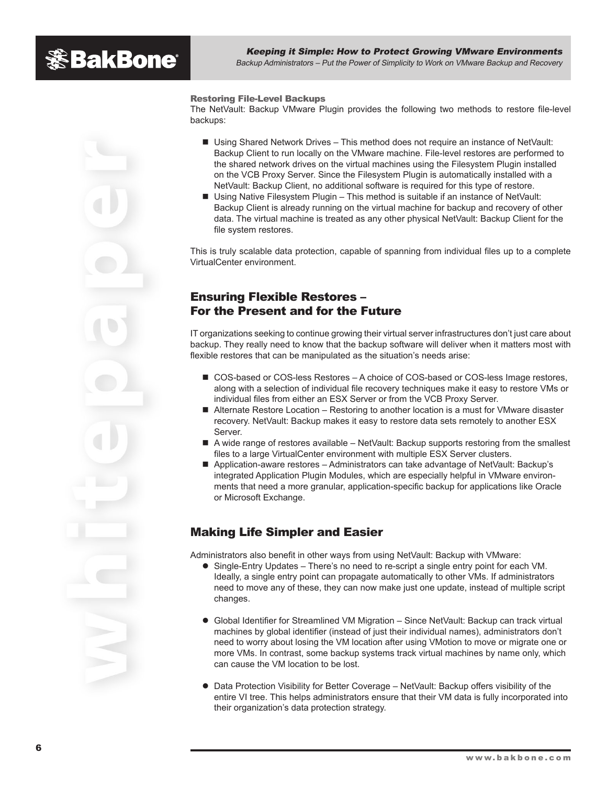Restoring File-Level Backups

The NetVault: Backup VMware Plugin provides the following two methods to restore file-level backups:

- Using Shared Network Drives This method does not require an instance of NetVault: Backup Client to run locally on the VMware machine. File-level restores are performed to the shared network drives on the virtual machines using the Filesystem Plugin installed on the VCB Proxy Server. Since the Filesystem Plugin is automatically installed with a NetVault: Backup Client, no additional software is required for this type of restore.
- Using Native Filesystem Plugin This method is suitable if an instance of NetVault: Backup Client is already running on the virtual machine for backup and recovery of other data. The virtual machine is treated as any other physical NetVault: Backup Client for the file system restores.

This is truly scalable data protection, capable of spanning from individual files up to a complete VirtualCenter environment.

### Ensuring Flexible Restores – For the Present and for the Future

IT organizations seeking to continue growing their virtual server infrastructures don't just care about backup. They really need to know that the backup software will deliver when it matters most with flexible restores that can be manipulated as the situation's needs arise:

- COS-based or COS-less Restores A choice of COS-based or COS-less Image restores, along with a selection of individual file recovery techniques make it easy to restore VMs or individual files from either an ESX Server or from the VCB Proxy Server.
- Alternate Restore Location Restoring to another location is a must for VMware disaster recovery. NetVault: Backup makes it easy to restore data sets remotely to another ESX Server.
- n A wide range of restores available NetVault: Backup supports restoring from the smallest files to a large VirtualCenter environment with multiple ESX Server clusters.
- Application-aware restores Administrators can take advantage of NetVault: Backup's integrated Application Plugin Modules, which are especially helpful in VMware environments that need a more granular, application-specific backup for applications like Oracle or Microsoft Exchange.

## Making Life Simpler and Easier

Administrators also benefit in other ways from using NetVault: Backup with VMware:

- Single-Entry Updates There's no need to re-script a single entry point for each VM. Ideally, a single entry point can propagate automatically to other VMs. If administrators need to move any of these, they can now make just one update, instead of multiple script changes.
- **Global Identifier for Streamlined VM Migration Since NetVault: Backup can track virtual** machines by global identifier (instead of just their individual names), administrators don't need to worry about losing the VM location after using VMotion to move or migrate one or more VMs. In contrast, some backup systems track virtual machines by name only, which can cause the VM location to be lost.
- **Data Protection Visibility for Better Coverage NetVault: Backup offers visibility of the** entire VI tree. This helps administrators ensure that their VM data is fully incorporated into their organization's data protection strategy.